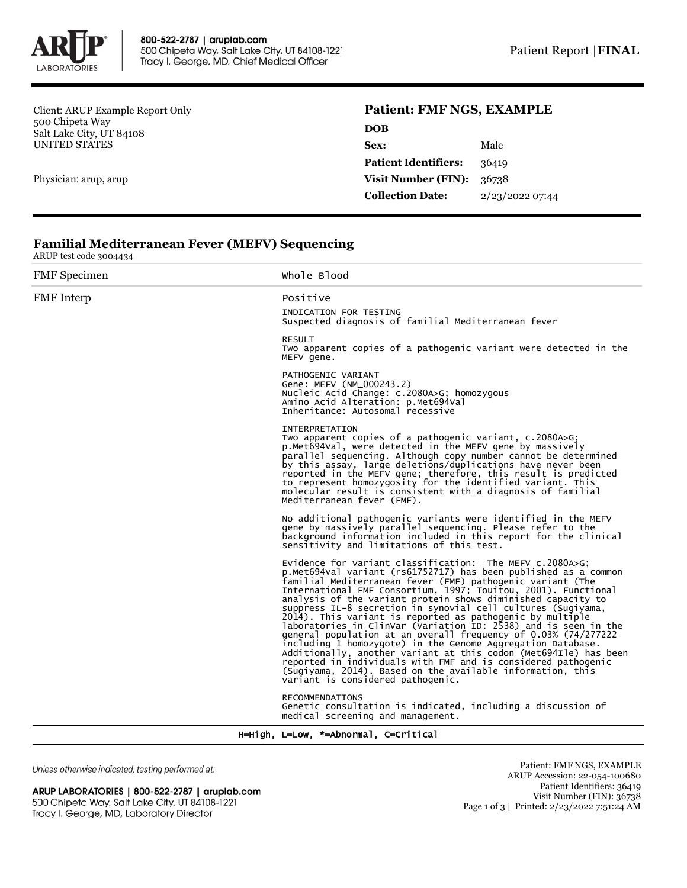

Client: ARUP Example Report Only 500 Chipeta Way Salt Lake City, UT 84108 UNITED STATES

Physician: arup, arup

## **Patient: FMF NGS, EXAMPLE**

| <b>DOB</b>                  |                 |
|-----------------------------|-----------------|
| Sex:                        | Male            |
| <b>Patient Identifiers:</b> | 36419           |
| <b>Visit Number (FIN):</b>  | 36738           |
| <b>Collection Date:</b>     | 2/23/2022 07:44 |
|                             |                 |

## **Familial Mediterranean Fever (MEFV) Sequencing**

ARUP test code 3004434

| <b>FMF</b> Specimen | Whole Blood                                                                                                                                                                                                                                                                                                                                                                                                                                                                                                                                                                                                                                                                                                                                                                                                                                                                                           |
|---------------------|-------------------------------------------------------------------------------------------------------------------------------------------------------------------------------------------------------------------------------------------------------------------------------------------------------------------------------------------------------------------------------------------------------------------------------------------------------------------------------------------------------------------------------------------------------------------------------------------------------------------------------------------------------------------------------------------------------------------------------------------------------------------------------------------------------------------------------------------------------------------------------------------------------|
|                     |                                                                                                                                                                                                                                                                                                                                                                                                                                                                                                                                                                                                                                                                                                                                                                                                                                                                                                       |
| FMF Interp          | Positive<br>INDICATION FOR TESTING<br>Suspected diagnosis of familial Mediterranean fever                                                                                                                                                                                                                                                                                                                                                                                                                                                                                                                                                                                                                                                                                                                                                                                                             |
|                     | <b>RESULT</b><br>Two apparent copies of a pathogenic variant were detected in the<br>MEFV gene.                                                                                                                                                                                                                                                                                                                                                                                                                                                                                                                                                                                                                                                                                                                                                                                                       |
|                     | PATHOGENIC VARIANT<br>Gene: MEFV (NM_000243.2)<br>Nucleic Acid Change: c.2080A>G; homozygous<br>Amino Acid Alteration: p.Met694Val<br>Inheritance: Autosomal recessive                                                                                                                                                                                                                                                                                                                                                                                                                                                                                                                                                                                                                                                                                                                                |
|                     | <b>INTERPRETATION</b><br>Two apparent copies of a pathogenic variant, c.2080A>G;<br>p.Met694Val, were detected in the MEFV gene by massively<br>parallel sequencing. Although copy number cannot be determined<br>by this assay, large deletions/duplications have never been<br>reported in the MEFV gene; therefore, this result is predicted<br>to represent homozygosity for the identified variant. This<br>molecular result is consistent with a diagnosis of familial<br>Mediterranean fever (FMF).                                                                                                                                                                                                                                                                                                                                                                                            |
|                     | No additional pathogenic variants were identified in the MEFV<br>gene by massively parallel sequencing. Please refer to the<br>background information included in this report for the clinical<br>sensitivity and limitations of this test.                                                                                                                                                                                                                                                                                                                                                                                                                                                                                                                                                                                                                                                           |
|                     | Evidence for variant classification: The MEFV c.2080A>G;<br>p.Met694Val variant (rs61752717) has been published as a common<br>familial Mediterranean fever (FMF) pathogenic variant (The<br>International FMF Consortium, 1997; Touitou, 2001). Functional<br>analysis of the variant protein shows diminished capacity to<br>suppress IL-8 secretion in synovial cell cultures (Sugiyama,<br>2014). This variant is reported as pathogenic by multiple<br>laboratories in ClinVar (Variation ID: 2538) and is seen in the<br>general population at an overall frequency of 0.03% (74/277222)<br>including 1 homozygote) in the Genome Aggregation Database.<br>Additionally, another variant at this codon (Met694Ile) has been<br>reported in individuals with FMF and is considered pathogenic<br>(Sugiyama, 2014). Based on the available information, this<br>variant is considered pathogenic. |
|                     | <b>RECOMMENDATIONS</b><br>Genetic consultation is indicated, including a discussion of<br>medical screening and management.                                                                                                                                                                                                                                                                                                                                                                                                                                                                                                                                                                                                                                                                                                                                                                           |

H=High, L=Low, \*=Abnormal, C=Critical

Unless otherwise indicated, testing performed at:

## ARUP LABORATORIES | 800-522-2787 | aruplab.com 500 Chipeta Way, Salt Lake City, UT 84108-1221 Tracy I. George, MD, Laboratory Director

Patient: FMF NGS, EXAMPLE ARUP Accession: 22-054-100680 Patient Identifiers: 36419 Visit Number (FIN): 36738 Page 1 of 3 | Printed: 2/23/2022 7:51:24 AM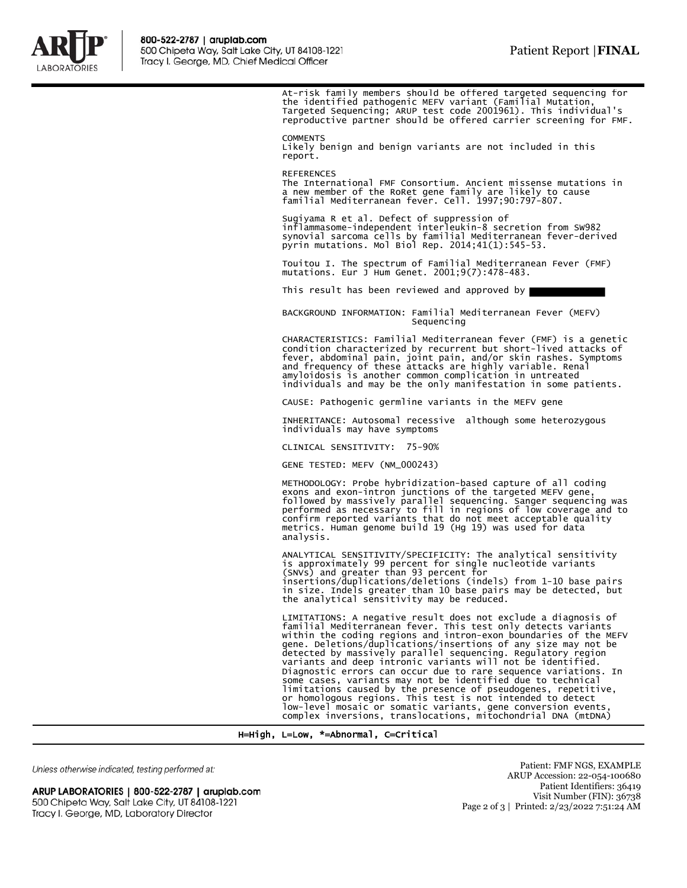

At-risk family members should be offered targeted sequencing for the identified pathogenic MEFV variant (Familial Mutation,<br>Targeted Sequencing; ARUP test code 2001961). This individual's<br>reproductive partner should be offered carrier screening for FMF. **COMMENTS** Likely benign and benign variants are not included in this report. REFERENCES The International FMF Consortium. Ancient missense mutations in a new member of the RoRet gene family are likely to cause familial Mediterranean fever. Cell. 1997;90:797-807. Sugiyama R et al. Defect of suppression of inflammasome-independent interleukin-8 secretion from SW982 synovial sarcoma cells by familial Mediterranean fever-derived pyrin mutations. Mol Biol Rep. 2014;41(1):545-53. Touitou I. The spectrum of Familial Mediterranean Fever (FMF) mutations. Eur J Hum Genet. 2001;9(7):478-483. This result has been reviewed and approved by BACKGROUND INFORMATION: Familial Mediterranean Fever (MEFV) Sequencing CHARACTERISTICS: Familial Mediterranean fever (FMF) is a genetic condition characterized by recurrent but short-lived attacks of fever, abdominal pain, joint pain, and/or skin rashes. Symptoms and frequency of these attacks are highly variable. Renal amyloidosis is another common complication in untreated individuals and may be the only manifestation in some patients. CAUSE: Pathogenic germline variants in the MEFV gene INHERITANCE: Autosomal recessive although some heterozygous individuals may have symptoms CLINICAL SENSITIVITY: 75-90% GENE TESTED: MEFV (NM\_000243) METHODOLOGY: Probe hybridization-based capture of all coding exons and exon-intron junctions of the targeted MEFV gene,<br>followed by massively parallel sequencing. Sanger sequencing was<br>performed as necessary to fill in regions of low coverage and to<br>confirm reported variants that do analysis. ANALYTICAL SENSITIVITY/SPECIFICITY: The analytical sensitivity is approximately 99 percent for single nucleotide variants<br>(SNVs) and greater than 93 percent for<br>insertions/duplications/deletions (indels) from 1-10 base pairs<br>in size. Indels greater than 10 base pairs may be detected, the analytical sensitivity may be reduced. LIMITATIONS: A negative result does not exclude a diagnosis of familial Mediterranean fever. This test only detects variants within the coding regions and intron-exon boundaries of the MEFV

gene. Deletions/duplications/insertions of any size may not be detected by massively parallel sequencing. Regulatory region variants and deep intronic variants will not be identified. Diagnostic errors can occur due to rare sequence variations. In<br>some cases, variants may not be identified due to technical<br>limitations caused by the presence of pseudogenes, repetitive,<br>or homologous regions. This test is low-level mosaic or somatic variants, gene conversion events, complex inversions, translocations, mitochondrial DNA (mtDNA)

H=High, L=Low, \*=Abnormal, C=Critical

Unless otherwise indicated, testing performed at:

ARUP LABORATORIES | 800-522-2787 | aruplab.com 500 Chipeta Way, Salt Lake City, UT 84108-1221 Tracy I. George, MD, Laboratory Director

Patient: FMF NGS, EXAMPLE ARUP Accession: 22-054-100680 Patient Identifiers: 36419 Visit Number (FIN): 36738 Page 2 of 3 | Printed: 2/23/2022 7:51:24 AM